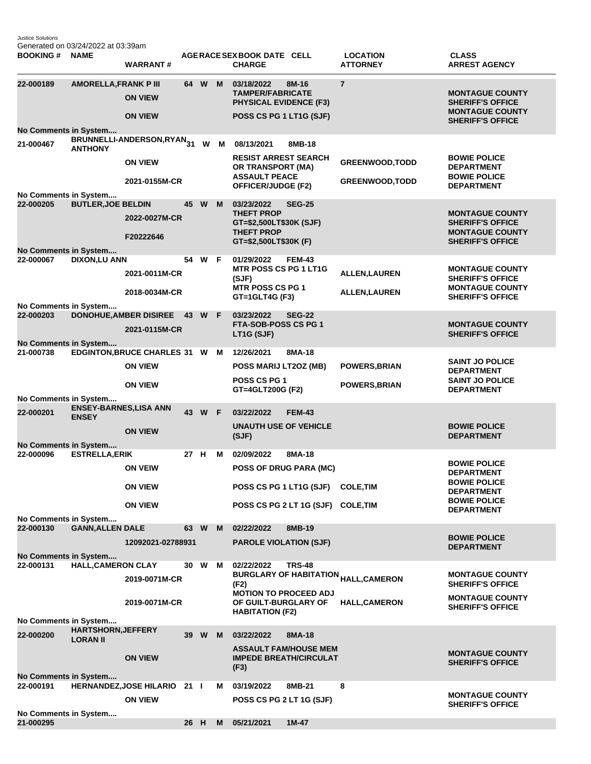Justice Solutions Generated on 03/24/2022 at 03:39am

| <b>BOOKING#</b>                           | <b>NAME</b>                                  | <b>WARRANT#</b>                                |      |        |    | AGERACE SEX BOOK DATE CELL<br><b>CHARGE</b>                                                              |               | <b>LOCATION</b><br><b>ATTORNEY</b>                    | <b>CLASS</b><br><b>ARREST AGENCY</b>                                                                   |
|-------------------------------------------|----------------------------------------------|------------------------------------------------|------|--------|----|----------------------------------------------------------------------------------------------------------|---------------|-------------------------------------------------------|--------------------------------------------------------------------------------------------------------|
| 22-000189                                 | <b>AMORELLA, FRANK P III</b>                 | <b>ON VIEW</b>                                 | 64 W |        | M  | 03/18/2022<br><b>TAMPER/FABRICATE</b><br><b>PHYSICAL EVIDENCE (F3)</b>                                   | 8M-16         | $\overline{7}$                                        | <b>MONTAGUE COUNTY</b><br><b>SHERIFF'S OFFICE</b>                                                      |
| No Comments in System                     |                                              | <b>ON VIEW</b>                                 |      |        |    | POSS CS PG 1 LT1G (SJF)                                                                                  |               |                                                       | <b>MONTAGUE COUNTY</b><br><b>SHERIFF'S OFFICE</b>                                                      |
| 21-000467                                 | <b>ANTHONY</b>                               | BRUNNELLI-ANDERSON,RYAN <sub>31</sub>          |      | W      | M  | 08/13/2021                                                                                               | 8MB-18        |                                                       |                                                                                                        |
|                                           |                                              | <b>ON VIEW</b><br>2021-0155M-CR                |      |        |    | <b>RESIST ARREST SEARCH</b><br>OR TRANSPORT (MA)<br><b>ASSAULT PEACE</b>                                 |               | <b>GREENWOOD, TODD</b><br><b>GREENWOOD, TODD</b>      | <b>BOWIE POLICE</b><br><b>DEPARTMENT</b><br><b>BOWIE POLICE</b>                                        |
| No Comments in System                     |                                              |                                                |      |        |    | <b>OFFICER/JUDGE (F2)</b>                                                                                |               |                                                       | <b>DEPARTMENT</b>                                                                                      |
| 22-000205                                 | <b>BUTLER, JOE BELDIN</b>                    | 2022-0027M-CR<br>F20222646                     | 45   | W      | M  | 03/23/2022<br><b>THEFT PROP</b><br>GT=\$2,500LT\$30K (SJF)<br><b>THEFT PROP</b><br>GT=\$2,500LT\$30K (F) | <b>SEG-25</b> |                                                       | <b>MONTAGUE COUNTY</b><br><b>SHERIFF'S OFFICE</b><br><b>MONTAGUE COUNTY</b><br><b>SHERIFF'S OFFICE</b> |
| No Comments in System<br>22-000067        | <b>DIXON,LU ANN</b>                          |                                                | 54 W |        | -F | 01/29/2022                                                                                               | <b>FEM-43</b> |                                                       |                                                                                                        |
|                                           |                                              | 2021-0011M-CR                                  |      |        |    | <b>MTR POSS CS PG 1 LT1G</b><br>(SJF)<br><b>MTR POSS CS PG 1</b>                                         |               | <b>ALLEN, LAUREN</b>                                  | <b>MONTAGUE COUNTY</b><br><b>SHERIFF'S OFFICE</b><br><b>MONTAGUE COUNTY</b>                            |
| No Comments in System                     |                                              | 2018-0034M-CR                                  |      |        |    | GT=1GLT4G (F3)                                                                                           |               | <b>ALLEN, LAUREN</b>                                  | <b>SHERIFF'S OFFICE</b>                                                                                |
| 22-000203<br>No Comments in System        |                                              | <b>DONOHUE, AMBER DISIREE</b><br>2021-0115M-CR | 43 W |        | -F | 03/23/2022<br><b>FTA-SOB-POSS CS PG 1</b><br>LT1G (SJF)                                                  | <b>SEG-22</b> |                                                       | <b>MONTAGUE COUNTY</b><br><b>SHERIFF'S OFFICE</b>                                                      |
| 21-000738                                 |                                              | <b>EDGINTON, BRUCE CHARLES 31 W</b>            |      |        | M  | 12/26/2021                                                                                               | 8MA-18        |                                                       |                                                                                                        |
|                                           |                                              | <b>ON VIEW</b>                                 |      |        |    | POSS MARIJ LT2OZ (MB)<br>POSS CS PG 1                                                                    |               | POWERS, BRIAN                                         | <b>SAINT JO POLICE</b><br><b>DEPARTMENT</b><br><b>SAINT JO POLICE</b>                                  |
|                                           |                                              | <b>ON VIEW</b>                                 |      |        |    | GT=4GLT200G (F2)                                                                                         |               | <b>POWERS, BRIAN</b>                                  | <b>DEPARTMENT</b>                                                                                      |
| No Comments in System<br>22-000201        | <b>ENSEY-BARNES, LISA ANN</b>                |                                                |      | 43 W F |    | 03/22/2022                                                                                               | <b>FEM-43</b> |                                                       |                                                                                                        |
|                                           | <b>ENSEY</b>                                 | <b>ON VIEW</b>                                 |      |        |    | <b>UNAUTH USE OF VEHICLE</b><br>(SJF)                                                                    |               |                                                       | <b>BOWIE POLICE</b><br><b>DEPARTMENT</b>                                                               |
| No Comments in System<br>22-000096        | <b>ESTRELLA, ERIK</b>                        |                                                | 27 H |        | м  | 02/09/2022                                                                                               | 8MA-18        |                                                       |                                                                                                        |
|                                           |                                              | <b>ON VEIW</b>                                 |      |        |    | <b>POSS OF DRUG PARA (MC)</b>                                                                            |               |                                                       | <b>BOWIE POLICE</b><br><b>DEPARTMENT</b>                                                               |
|                                           |                                              | <b>ON VIEW</b>                                 |      |        |    | POSS CS PG 1 LT1G (SJF)                                                                                  |               | <b>COLE, TIM</b>                                      | <b>BOWIE POLICE</b><br><b>DEPARTMENT</b>                                                               |
|                                           |                                              | <b>ON VIEW</b>                                 |      |        |    | POSS CS PG 2 LT 1G (SJF) COLE, TIM                                                                       |               |                                                       | <b>BOWIE POLICE</b><br><b>DEPARTMENT</b>                                                               |
| No Comments in System<br>22-000130        | <b>GANN, ALLEN DALE</b>                      |                                                | 63 W |        | M  | 02/22/2022                                                                                               | 8MB-19        |                                                       |                                                                                                        |
|                                           |                                              | 12092021-02788931                              |      |        |    | <b>PAROLE VIOLATION (SJF)</b>                                                                            |               |                                                       | <b>BOWIE POLICE</b><br><b>DEPARTMENT</b>                                                               |
| <b>No Comments in System</b><br>22-000131 | <b>HALL, CAMERON CLAY</b>                    |                                                | 30 W |        | м  | 02/22/2022                                                                                               | <b>TRS-48</b> |                                                       |                                                                                                        |
|                                           |                                              | 2019-0071M-CR                                  |      |        |    | (F2)                                                                                                     |               | <b>BURGLARY OF HABITATION <sub>HALL,</sub>CAMERON</b> | <b>MONTAGUE COUNTY</b><br><b>SHERIFF'S OFFICE</b>                                                      |
| No Comments in System                     |                                              | 2019-0071M-CR                                  |      |        |    | <b>MOTION TO PROCEED ADJ</b><br>OF GUILT-BURGLARY OF<br><b>HABITATION (F2)</b>                           |               | <b>HALL, CAMERON</b>                                  | <b>MONTAGUE COUNTY</b><br><b>SHERIFF'S OFFICE</b>                                                      |
| 22-000200                                 | <b>HARTSHORN, JEFFERY</b><br><b>LORAN II</b> |                                                | 39   | W      | M  | 03/22/2022                                                                                               | 8MA-18        |                                                       |                                                                                                        |
|                                           |                                              | <b>ON VIEW</b>                                 |      |        |    | <b>ASSAULT FAM/HOUSE MEM</b><br><b>IMPEDE BREATH/CIRCULAT</b><br>(F3)                                    |               |                                                       | <b>MONTAGUE COUNTY</b><br><b>SHERIFF'S OFFICE</b>                                                      |
| No Comments in System<br>22-000191        |                                              | HERNANDEZ, JOSE HILARIO 21 I                   |      |        | м  | 03/19/2022                                                                                               | 8MB-21        | 8                                                     |                                                                                                        |
|                                           |                                              | <b>ON VIEW</b>                                 |      |        |    | POSS CS PG 2 LT 1G (SJF)                                                                                 |               |                                                       | <b>MONTAGUE COUNTY</b><br><b>SHERIFF'S OFFICE</b>                                                      |
| No Comments in System<br>21-000295        |                                              |                                                | 26 H |        | M  | 05/21/2021                                                                                               | $1M-47$       |                                                       |                                                                                                        |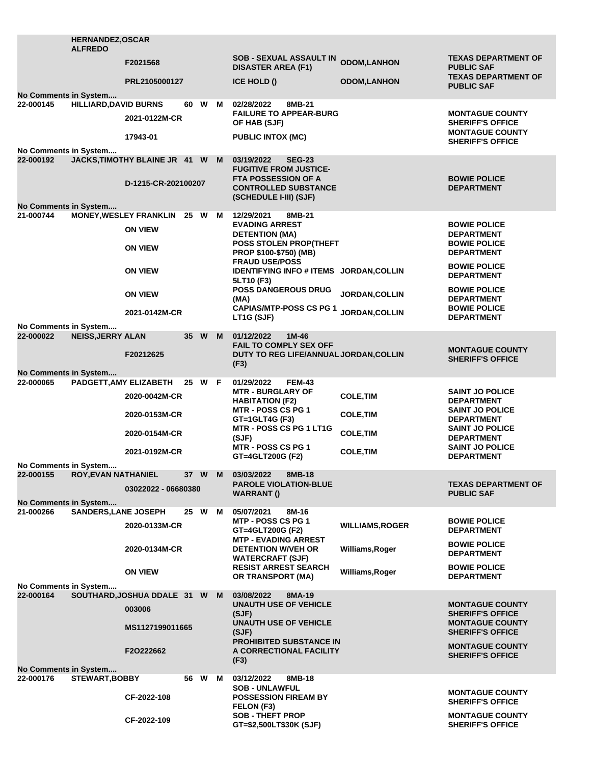|                                                                                                  | <b>HERNANDEZ, OSCAR</b><br><b>ALFREDO</b> |                                                 |        |          |                                                                                     |                        |                                                                  |  |
|--------------------------------------------------------------------------------------------------|-------------------------------------------|-------------------------------------------------|--------|----------|-------------------------------------------------------------------------------------|------------------------|------------------------------------------------------------------|--|
|                                                                                                  |                                           | F2021568                                        |        |          | <b>SOB - SEXUAL ASSAULT IN</b><br><b>DISASTER AREA (F1)</b>                         | <b>ODOM,LANHON</b>     | <b>TEXAS DEPARTMENT OF</b><br><b>PUBLIC SAF</b>                  |  |
| No Comments in System                                                                            |                                           | PRL2105000127                                   |        |          | ICE HOLD ()                                                                         | <b>ODOM,LANHON</b>     | <b>TEXAS DEPARTMENT OF</b><br><b>PUBLIC SAF</b>                  |  |
| 22-000145                                                                                        | <b>HILLIARD, DAVID BURNS</b>              |                                                 | 60 W M |          | 02/28/2022<br>8MB-21                                                                |                        |                                                                  |  |
|                                                                                                  |                                           | 2021-0122M-CR                                   |        |          | <b>FAILURE TO APPEAR-BURG</b><br>OF HAB (SJF)                                       |                        | <b>MONTAGUE COUNTY</b><br><b>SHERIFF'S OFFICE</b>                |  |
| No Comments in System                                                                            |                                           | 17943-01                                        |        |          | <b>PUBLIC INTOX (MC)</b>                                                            |                        | <b>MONTAGUE COUNTY</b><br><b>SHERIFF'S OFFICE</b>                |  |
| 22-000192                                                                                        |                                           | JACKS, TIMOTHY BLAINE JR 41 W M                 |        |          | 03/19/2022<br><b>SEG-23</b><br><b>FUGITIVE FROM JUSTICE-</b>                        |                        |                                                                  |  |
|                                                                                                  |                                           | D-1215-CR-202100207                             |        |          | <b>FTA POSSESSION OF A</b><br><b>CONTROLLED SUBSTANCE</b><br>(SCHEDULE I-III) (SJF) |                        | <b>BOWIE POLICE</b><br><b>DEPARTMENT</b>                         |  |
| No Comments in System                                                                            |                                           |                                                 |        |          |                                                                                     |                        |                                                                  |  |
| 21-000744                                                                                        |                                           | MONEY, WESLEY FRANKLIN 25 W M<br><b>ON VIEW</b> |        |          | 12/29/2021<br>8MB-21<br><b>EVADING ARREST</b>                                       |                        | <b>BOWIE POLICE</b>                                              |  |
|                                                                                                  |                                           | <b>ON VIEW</b>                                  |        |          | <b>DETENTION (MA)</b><br>POSS STOLEN PROP(THEFT                                     |                        | <b>DEPARTMENT</b><br><b>BOWIE POLICE</b>                         |  |
|                                                                                                  |                                           |                                                 |        |          | PROP \$100-\$750) (MB)<br><b>FRAUD USE/POSS</b>                                     |                        | <b>DEPARTMENT</b><br><b>BOWIE POLICE</b>                         |  |
|                                                                                                  |                                           | <b>ON VIEW</b>                                  |        |          | IDENTIFYING INFO # ITEMS JORDAN, COLLIN<br>5LT10 (F3)                               |                        | <b>DEPARTMENT</b>                                                |  |
|                                                                                                  |                                           | <b>ON VIEW</b>                                  |        |          | <b>POSS DANGEROUS DRUG</b><br>(MA)                                                  | JORDAN, COLLIN         | <b>BOWIE POLICE</b><br><b>DEPARTMENT</b>                         |  |
|                                                                                                  |                                           | 2021-0142M-CR                                   |        |          | <b>CAPIAS/MTP-POSS CS PG 1</b><br>LT1G (SJF)                                        | <b>JORDAN,COLLIN</b>   | <b>BOWIE POLICE</b><br><b>DEPARTMENT</b>                         |  |
| No Comments in System<br>22-000022                                                               | <b>NEISS, JERRY ALAN</b>                  |                                                 | 35 W M |          | 01/12/2022<br>1M-46<br><b>FAIL TO COMPLY SEX OFF</b>                                |                        |                                                                  |  |
|                                                                                                  |                                           | F20212625                                       |        |          | DUTY TO REG LIFE/ANNUAL JORDAN, COLLIN<br>(F3)                                      |                        | <b>MONTAGUE COUNTY</b><br><b>SHERIFF'S OFFICE</b>                |  |
| No Comments in System                                                                            |                                           |                                                 |        |          |                                                                                     |                        |                                                                  |  |
| 22-000065                                                                                        | PADGETT, AMY ELIZABETH                    | 2020-0042M-CR                                   | 25 W F |          | 01/29/2022<br><b>FEM-43</b><br><b>MTR - BURGLARY OF</b>                             | <b>COLE, TIM</b>       | <b>SAINT JO POLICE</b>                                           |  |
|                                                                                                  |                                           | 2020-0153M-CR                                   |        |          | <b>HABITATION (F2)</b><br><b>MTR - POSS CS PG 1</b><br>GT=1GLT4G (F3)               | <b>COLE, TIM</b>       | <b>DEPARTMENT</b><br><b>SAINT JO POLICE</b><br><b>DEPARTMENT</b> |  |
|                                                                                                  |                                           | 2020-0154M-CR                                   |        |          | <b>MTR - POSS CS PG 1 LT1G</b><br>(SJF)                                             | <b>COLE, TIM</b>       | <b>SAINT JO POLICE</b><br><b>DEPARTMENT</b>                      |  |
|                                                                                                  |                                           | 2021-0192M-CR                                   |        |          | <b>MTR - POSS CS PG 1</b><br>GT=4GLT200G (F2)                                       | <b>COLE, TIM</b>       | <b>SAINT JO POLICE</b><br><b>DEPARTMENT</b>                      |  |
| No Comments in System                                                                            |                                           |                                                 |        |          |                                                                                     |                        |                                                                  |  |
| 22-000155                                                                                        | ROY, EVAN NATHANIEL                       | 03022022 - 06680380                             | 37 W   | <b>M</b> | 03/03/2022<br>8MB-18<br><b>PAROLE VIOLATION-BLUE</b>                                |                        | <b>TEXAS DEPARTMENT OF</b>                                       |  |
| No Comments in System                                                                            |                                           |                                                 |        |          | <b>WARRANT()</b>                                                                    |                        | <b>PUBLIC SAF</b>                                                |  |
| 21-000266                                                                                        | <b>SANDERS, LANE JOSEPH</b>               |                                                 | 25 W M |          | 05/07/2021<br>8M-16<br>MTP - POSS CS PG 1                                           |                        | <b>BOWIE POLICE</b>                                              |  |
|                                                                                                  |                                           | 2020-0133M-CR                                   |        |          | GT=4GLT200G (F2)<br><b>MTP - EVADING ARREST</b>                                     | <b>WILLIAMS, ROGER</b> | <b>DEPARTMENT</b>                                                |  |
|                                                                                                  |                                           | 2020-0134M-CR                                   |        |          | <b>DETENTION W/VEH OR</b><br><b>WATERCRAFT (SJF)</b>                                | Williams, Roger        | <b>BOWIE POLICE</b><br><b>DEPARTMENT</b>                         |  |
|                                                                                                  |                                           | <b>ON VIEW</b>                                  |        |          | <b>RESIST ARREST SEARCH</b><br>OR TRANSPORT (MA)                                    | Williams, Roger        | <b>BOWIE POLICE</b><br><b>DEPARTMENT</b>                         |  |
| No Comments in System                                                                            |                                           |                                                 |        |          |                                                                                     |                        |                                                                  |  |
| 22-000164                                                                                        |                                           | SOUTHARD, JOSHUA DDALE 31 W M<br>003006         |        |          | 03/08/2022<br>8MA-19<br><b>UNAUTH USE OF VEHICLE</b><br>(SJF)                       |                        | <b>MONTAGUE COUNTY</b><br><b>SHERIFF'S OFFICE</b>                |  |
|                                                                                                  |                                           | MS1127199011665                                 |        |          | <b>UNAUTH USE OF VEHICLE</b><br>(SJF)                                               |                        | <b>MONTAGUE COUNTY</b><br><b>SHERIFF'S OFFICE</b>                |  |
|                                                                                                  |                                           | F2O222662                                       |        |          | <b>PROHIBITED SUBSTANCE IN</b><br>A CORRECTIONAL FACILITY                           |                        | <b>MONTAGUE COUNTY</b>                                           |  |
|                                                                                                  |                                           |                                                 |        |          | (F3)                                                                                |                        | <b>SHERIFF'S OFFICE</b>                                          |  |
| No Comments in System<br>22-000176<br><b>STEWART, BOBBY</b><br>03/12/2022<br>8MB-18<br>56 W<br>M |                                           |                                                 |        |          |                                                                                     |                        |                                                                  |  |
|                                                                                                  |                                           | CF-2022-108                                     |        |          | <b>SOB - UNLAWFUL</b><br><b>POSSESSION FIREAM BY</b>                                |                        | <b>MONTAGUE COUNTY</b>                                           |  |
|                                                                                                  |                                           |                                                 |        |          | <b>FELON (F3)</b><br><b>SOB - THEFT PROP</b>                                        |                        | <b>SHERIFF'S OFFICE</b><br><b>MONTAGUE COUNTY</b>                |  |
|                                                                                                  |                                           | CF-2022-109                                     |        |          | GT=\$2,500LT\$30K (SJF)                                                             |                        | <b>SHERIFF'S OFFICE</b>                                          |  |